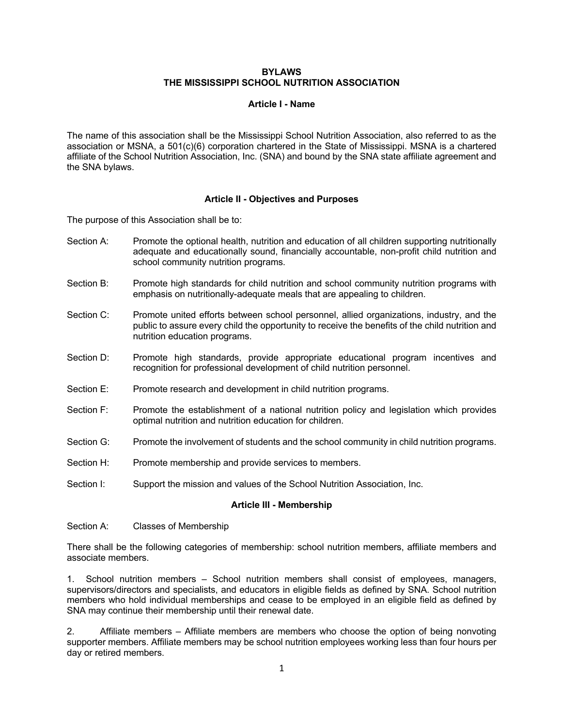## **BYLAWS THE MISSISSIPPI SCHOOL NUTRITION ASSOCIATION**

## **Article I - Name**

The name of this association shall be the Mississippi School Nutrition Association, also referred to as the association or MSNA, a 501(c)(6) corporation chartered in the State of Mississippi. MSNA is a chartered affiliate of the School Nutrition Association, Inc. (SNA) and bound by the SNA state affiliate agreement and the SNA bylaws.

## **Article II - Objectives and Purposes**

The purpose of this Association shall be to:

- Section A: Promote the optional health, nutrition and education of all children supporting nutritionally adequate and educationally sound, financially accountable, non-profit child nutrition and school community nutrition programs.
- Section B: Promote high standards for child nutrition and school community nutrition programs with emphasis on nutritionally-adequate meals that are appealing to children.
- Section C: Promote united efforts between school personnel, allied organizations, industry, and the public to assure every child the opportunity to receive the benefits of the child nutrition and nutrition education programs.
- Section D: Promote high standards, provide appropriate educational program incentives and recognition for professional development of child nutrition personnel.
- Section E: Promote research and development in child nutrition programs.
- Section F: Promote the establishment of a national nutrition policy and legislation which provides optimal nutrition and nutrition education for children.
- Section G: Promote the involvement of students and the school community in child nutrition programs.
- Section H: Promote membership and provide services to members.
- Section I: Support the mission and values of the School Nutrition Association, Inc.

#### **Article III - Membership**

Section A: Classes of Membership

There shall be the following categories of membership: school nutrition members, affiliate members and associate members.

1. School nutrition members – School nutrition members shall consist of employees, managers, supervisors/directors and specialists, and educators in eligible fields as defined by SNA. School nutrition members who hold individual memberships and cease to be employed in an eligible field as defined by SNA may continue their membership until their renewal date.

2. Affiliate members – Affiliate members are members who choose the option of being nonvoting supporter members. Affiliate members may be school nutrition employees working less than four hours per day or retired members.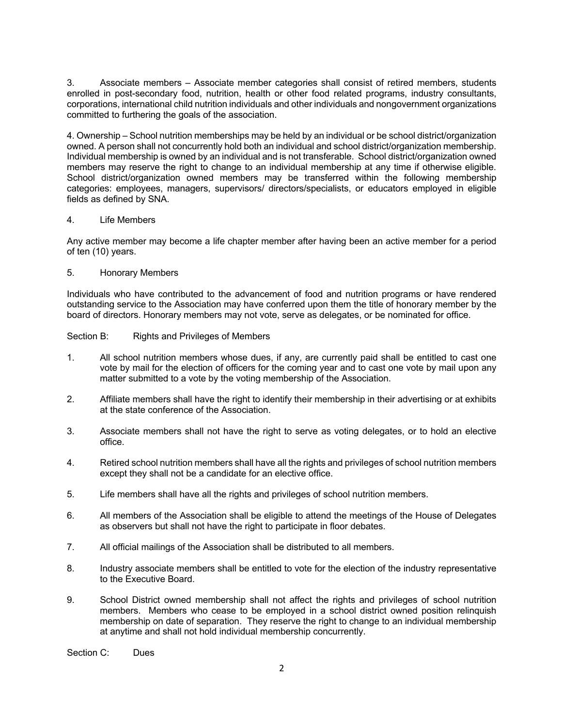3. Associate members – Associate member categories shall consist of retired members, students enrolled in post-secondary food, nutrition, health or other food related programs, industry consultants, corporations, international child nutrition individuals and other individuals and nongovernment organizations committed to furthering the goals of the association.

4. Ownership – School nutrition memberships may be held by an individual or be school district/organization owned. A person shall not concurrently hold both an individual and school district/organization membership. Individual membership is owned by an individual and is not transferable. School district/organization owned members may reserve the right to change to an individual membership at any time if otherwise eligible. School district/organization owned members may be transferred within the following membership categories: employees, managers, supervisors/ directors/specialists, or educators employed in eligible fields as defined by SNA.

## 4. Life Members

Any active member may become a life chapter member after having been an active member for a period of ten (10) years.

5. Honorary Members

Individuals who have contributed to the advancement of food and nutrition programs or have rendered outstanding service to the Association may have conferred upon them the title of honorary member by the board of directors. Honorary members may not vote, serve as delegates, or be nominated for office.

## Section B: Rights and Privileges of Members

- 1. All school nutrition members whose dues, if any, are currently paid shall be entitled to cast one vote by mail for the election of officers for the coming year and to cast one vote by mail upon any matter submitted to a vote by the voting membership of the Association.
- 2. Affiliate members shall have the right to identify their membership in their advertising or at exhibits at the state conference of the Association.
- 3. Associate members shall not have the right to serve as voting delegates, or to hold an elective office.
- 4. Retired school nutrition members shall have all the rights and privileges of school nutrition members except they shall not be a candidate for an elective office.
- 5. Life members shall have all the rights and privileges of school nutrition members.
- 6. All members of the Association shall be eligible to attend the meetings of the House of Delegates as observers but shall not have the right to participate in floor debates.
- 7. All official mailings of the Association shall be distributed to all members.
- 8. Industry associate members shall be entitled to vote for the election of the industry representative to the Executive Board.
- 9. School District owned membership shall not affect the rights and privileges of school nutrition members. Members who cease to be employed in a school district owned position relinquish membership on date of separation. They reserve the right to change to an individual membership at anytime and shall not hold individual membership concurrently.

Section C: Dues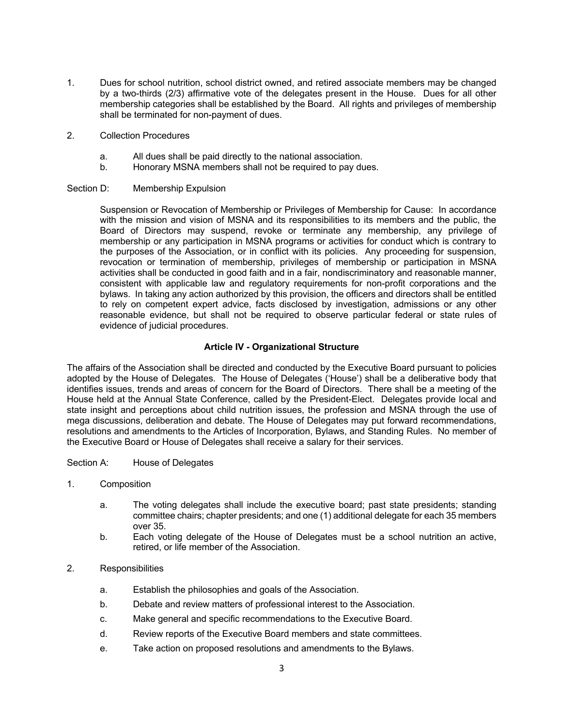- 1. Dues for school nutrition, school district owned, and retired associate members may be changed by a two-thirds (2/3) affirmative vote of the delegates present in the House. Dues for all other membership categories shall be established by the Board. All rights and privileges of membership shall be terminated for non-payment of dues.
- 2. Collection Procedures
	- a. All dues shall be paid directly to the national association.
	- b. Honorary MSNA members shall not be required to pay dues.

## Section D: Membership Expulsion

Suspension or Revocation of Membership or Privileges of Membership for Cause: In accordance with the mission and vision of MSNA and its responsibilities to its members and the public, the Board of Directors may suspend, revoke or terminate any membership, any privilege of membership or any participation in MSNA programs or activities for conduct which is contrary to the purposes of the Association, or in conflict with its policies. Any proceeding for suspension, revocation or termination of membership, privileges of membership or participation in MSNA activities shall be conducted in good faith and in a fair, nondiscriminatory and reasonable manner, consistent with applicable law and regulatory requirements for non-profit corporations and the bylaws. In taking any action authorized by this provision, the officers and directors shall be entitled to rely on competent expert advice, facts disclosed by investigation, admissions or any other reasonable evidence, but shall not be required to observe particular federal or state rules of evidence of judicial procedures.

## **Article IV - Organizational Structure**

The affairs of the Association shall be directed and conducted by the Executive Board pursuant to policies adopted by the House of Delegates. The House of Delegates ('House') shall be a deliberative body that identifies issues, trends and areas of concern for the Board of Directors. There shall be a meeting of the House held at the Annual State Conference, called by the President-Elect. Delegates provide local and state insight and perceptions about child nutrition issues, the profession and MSNA through the use of mega discussions, deliberation and debate. The House of Delegates may put forward recommendations, resolutions and amendments to the Articles of Incorporation, Bylaws, and Standing Rules. No member of the Executive Board or House of Delegates shall receive a salary for their services.

Section A: House of Delegates

- 1. Composition
	- a. The voting delegates shall include the executive board; past state presidents; standing committee chairs; chapter presidents; and one (1) additional delegate for each 35 members over 35.
	- b. Each voting delegate of the House of Delegates must be a school nutrition an active, retired, or life member of the Association.
- 2. Responsibilities
	- a. Establish the philosophies and goals of the Association.
	- b. Debate and review matters of professional interest to the Association.
	- c. Make general and specific recommendations to the Executive Board.
	- d. Review reports of the Executive Board members and state committees.
	- e. Take action on proposed resolutions and amendments to the Bylaws.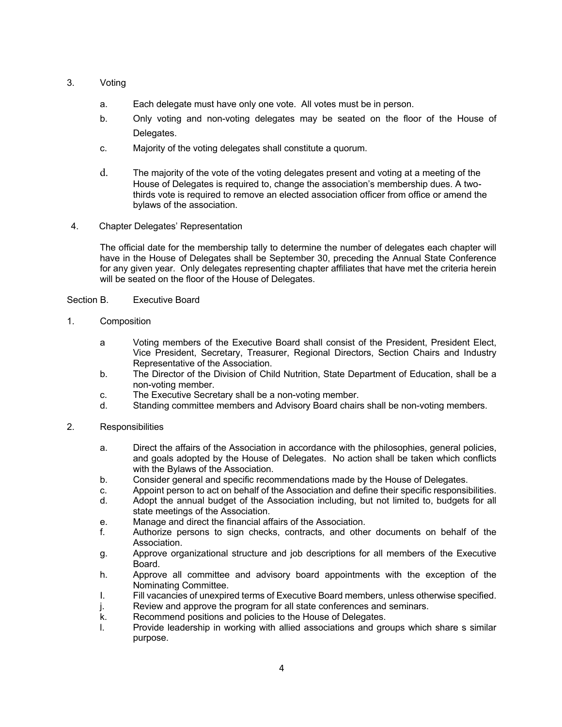- 3. Voting
	- a. Each delegate must have only one vote. All votes must be in person.
	- b. Only voting and non-voting delegates may be seated on the floor of the House of Delegates.
	- c. Majority of the voting delegates shall constitute a quorum.
	- d. The majority of the vote of the voting delegates present and voting at a meeting of the House of Delegates is required to, change the association's membership dues. A twothirds vote is required to remove an elected association officer from office or amend the bylaws of the association.
- 4. Chapter Delegates' Representation

The official date for the membership tally to determine the number of delegates each chapter will have in the House of Delegates shall be September 30, preceding the Annual State Conference for any given year. Only delegates representing chapter affiliates that have met the criteria herein will be seated on the floor of the House of Delegates.

- Section B. Executive Board
- 1. Composition
	- a Voting members of the Executive Board shall consist of the President, President Elect, Vice President, Secretary, Treasurer, Regional Directors, Section Chairs and Industry Representative of the Association.
	- b. The Director of the Division of Child Nutrition, State Department of Education, shall be a non-voting member.
	- c. The Executive Secretary shall be a non-voting member.
	- d. Standing committee members and Advisory Board chairs shall be non-voting members.
- 2. Responsibilities
	- a. Direct the affairs of the Association in accordance with the philosophies, general policies, and goals adopted by the House of Delegates. No action shall be taken which conflicts with the Bylaws of the Association.
	- b. Consider general and specific recommendations made by the House of Delegates.
	- c. Appoint person to act on behalf of the Association and define their specific responsibilities.
	- d. Adopt the annual budget of the Association including, but not limited to, budgets for all state meetings of the Association.
	- e. Manage and direct the financial affairs of the Association.
	- f. Authorize persons to sign checks, contracts, and other documents on behalf of the Association.
	- g. Approve organizational structure and job descriptions for all members of the Executive Board.
	- h. Approve all committee and advisory board appointments with the exception of the Nominating Committee.
	- I. Fill vacancies of unexpired terms of Executive Board members, unless otherwise specified.
	- j. Review and approve the program for all state conferences and seminars.
	- k. Recommend positions and policies to the House of Delegates.
	- l. Provide leadership in working with allied associations and groups which share s similar purpose.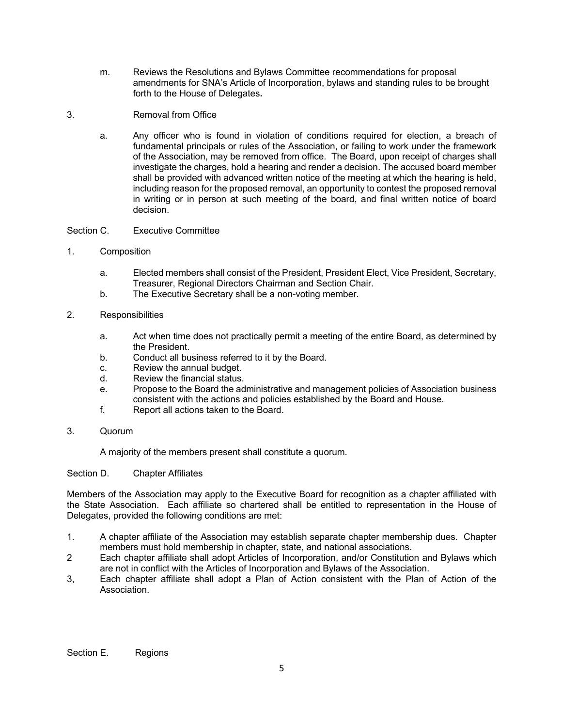- m. Reviews the Resolutions and Bylaws Committee recommendations for proposal amendments for SNA's Article of Incorporation, bylaws and standing rules to be brought forth to the House of Delegates**.**
- 3. Removal from Office
	- a. Any officer who is found in violation of conditions required for election, a breach of fundamental principals or rules of the Association, or failing to work under the framework of the Association, may be removed from office. The Board, upon receipt of charges shall investigate the charges, hold a hearing and render a decision. The accused board member shall be provided with advanced written notice of the meeting at which the hearing is held, including reason for the proposed removal, an opportunity to contest the proposed removal in writing or in person at such meeting of the board, and final written notice of board decision.
- Section C. Executive Committee
- 1. Composition
	- a. Elected members shall consist of the President, President Elect, Vice President, Secretary, Treasurer, Regional Directors Chairman and Section Chair.
	- b. The Executive Secretary shall be a non-voting member.
- 2. Responsibilities
	- a. Act when time does not practically permit a meeting of the entire Board, as determined by the President.
	- b. Conduct all business referred to it by the Board.
	- c. Review the annual budget.
	- d. Review the financial status.
	- e. Propose to the Board the administrative and management policies of Association business consistent with the actions and policies established by the Board and House.
	- f. Report all actions taken to the Board.
- 3. Quorum

A majority of the members present shall constitute a quorum.

## Section D. Chapter Affiliates

Members of the Association may apply to the Executive Board for recognition as a chapter affiliated with the State Association. Each affiliate so chartered shall be entitled to representation in the House of Delegates, provided the following conditions are met:

- 1. A chapter affiliate of the Association may establish separate chapter membership dues. Chapter members must hold membership in chapter, state, and national associations.
- 2 Each chapter affiliate shall adopt Articles of Incorporation, and/or Constitution and Bylaws which are not in conflict with the Articles of Incorporation and Bylaws of the Association.
- 3, Each chapter affiliate shall adopt a Plan of Action consistent with the Plan of Action of the Association.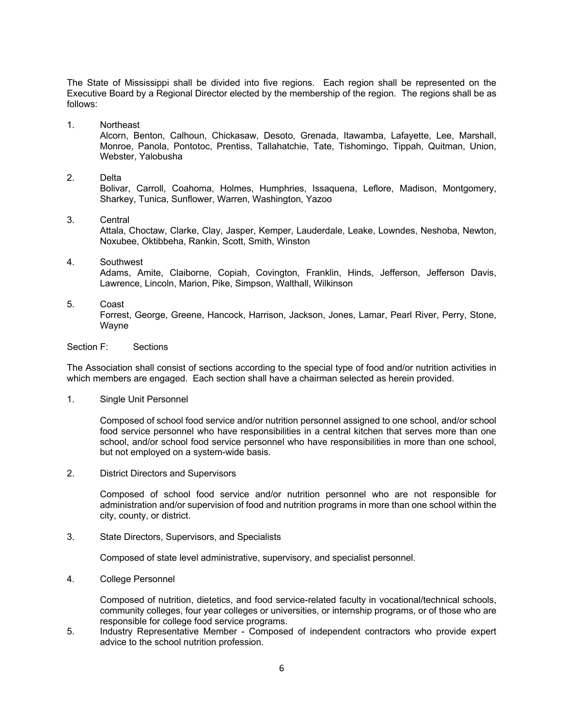The State of Mississippi shall be divided into five regions. Each region shall be represented on the Executive Board by a Regional Director elected by the membership of the region. The regions shall be as follows:

1. Northeast

Alcorn, Benton, Calhoun, Chickasaw, Desoto, Grenada, Itawamba, Lafayette, Lee, Marshall, Monroe, Panola, Pontotoc, Prentiss, Tallahatchie, Tate, Tishomingo, Tippah, Quitman, Union, Webster, Yalobusha

## 2. Delta

Bolivar, Carroll, Coahoma, Holmes, Humphries, Issaquena, Leflore, Madison, Montgomery, Sharkey, Tunica, Sunflower, Warren, Washington, Yazoo

### 3. Central

Attala, Choctaw, Clarke, Clay, Jasper, Kemper, Lauderdale, Leake, Lowndes, Neshoba, Newton, Noxubee, Oktibbeha, Rankin, Scott, Smith, Winston

4. Southwest Adams, Amite, Claiborne, Copiah, Covington, Franklin, Hinds, Jefferson, Jefferson Davis, Lawrence, Lincoln, Marion, Pike, Simpson, Walthall, Wilkinson

# 5. Coast

Forrest, George, Greene, Hancock, Harrison, Jackson, Jones, Lamar, Pearl River, Perry, Stone, Wayne

Section F: Sections

The Association shall consist of sections according to the special type of food and/or nutrition activities in which members are engaged. Each section shall have a chairman selected as herein provided.

1. Single Unit Personnel

Composed of school food service and/or nutrition personnel assigned to one school, and/or school food service personnel who have responsibilities in a central kitchen that serves more than one school, and/or school food service personnel who have responsibilities in more than one school, but not employed on a system-wide basis.

2. District Directors and Supervisors

Composed of school food service and/or nutrition personnel who are not responsible for administration and/or supervision of food and nutrition programs in more than one school within the city, county, or district.

3. State Directors, Supervisors, and Specialists

Composed of state level administrative, supervisory, and specialist personnel.

4. College Personnel

Composed of nutrition, dietetics, and food service-related faculty in vocational/technical schools, community colleges, four year colleges or universities, or internship programs, or of those who are responsible for college food service programs.

5. Industry Representative Member - Composed of independent contractors who provide expert advice to the school nutrition profession.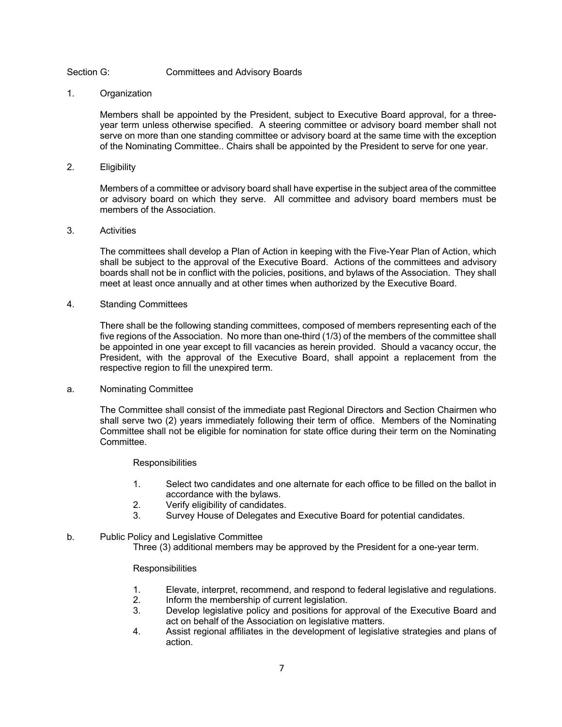## Section G: Committees and Advisory Boards

1. Organization

Members shall be appointed by the President, subject to Executive Board approval, for a threeyear term unless otherwise specified. A steering committee or advisory board member shall not serve on more than one standing committee or advisory board at the same time with the exception of the Nominating Committee.. Chairs shall be appointed by the President to serve for one year.

2. Eligibility

Members of a committee or advisory board shall have expertise in the subject area of the committee or advisory board on which they serve. All committee and advisory board members must be members of the Association.

3. Activities

The committees shall develop a Plan of Action in keeping with the Five-Year Plan of Action, which shall be subject to the approval of the Executive Board. Actions of the committees and advisory boards shall not be in conflict with the policies, positions, and bylaws of the Association. They shall meet at least once annually and at other times when authorized by the Executive Board.

4. Standing Committees

There shall be the following standing committees, composed of members representing each of the five regions of the Association. No more than one-third (1/3) of the members of the committee shall be appointed in one year except to fill vacancies as herein provided. Should a vacancy occur, the President, with the approval of the Executive Board, shall appoint a replacement from the respective region to fill the unexpired term.

a. Nominating Committee

The Committee shall consist of the immediate past Regional Directors and Section Chairmen who shall serve two (2) years immediately following their term of office. Members of the Nominating Committee shall not be eligible for nomination for state office during their term on the Nominating **Committee.** 

**Responsibilities** 

- 1. Select two candidates and one alternate for each office to be filled on the ballot in accordance with the bylaws.
- 2. Verify eligibility of candidates.
- 3. Survey House of Delegates and Executive Board for potential candidates.
- b. Public Policy and Legislative Committee

Three (3) additional members may be approved by the President for a one-year term.

#### **Responsibilities**

- 1. Elevate, interpret, recommend, and respond to federal legislative and regulations.
- 2. Inform the membership of current legislation.
- 3. Develop legislative policy and positions for approval of the Executive Board and act on behalf of the Association on legislative matters.
- 4. Assist regional affiliates in the development of legislative strategies and plans of action.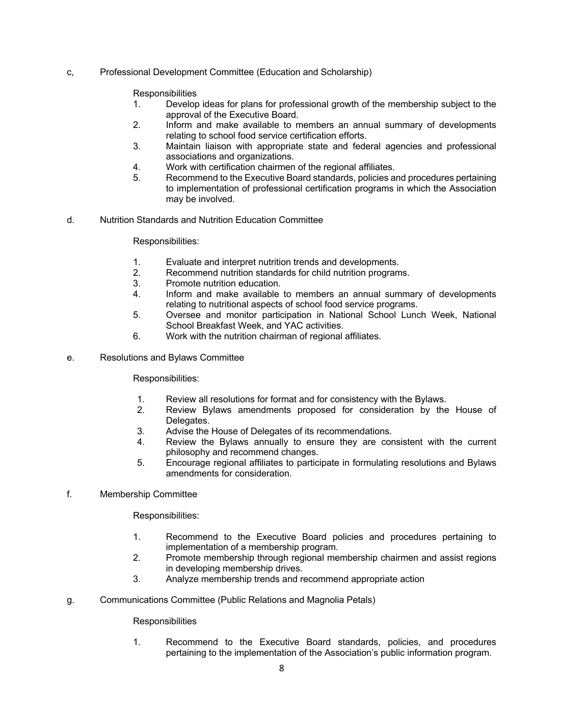c, Professional Development Committee (Education and Scholarship)

## **Responsibilities**

- 1. Develop ideas for plans for professional growth of the membership subject to the approval of the Executive Board.
- 2. Inform and make available to members an annual summary of developments relating to school food service certification efforts.
- 3. Maintain liaison with appropriate state and federal agencies and professional associations and organizations.
- 4. Work with certification chairmen of the regional affiliates.
- 5. Recommend to the Executive Board standards, policies and procedures pertaining to implementation of professional certification programs in which the Association may be involved.
- d. Nutrition Standards and Nutrition Education Committee

Responsibilities:

- 1. Evaluate and interpret nutrition trends and developments.
- 2. Recommend nutrition standards for child nutrition programs.
- 3. Promote nutrition education.
- 4. Inform and make available to members an annual summary of developments relating to nutritional aspects of school food service programs.
- 5. Oversee and monitor participation in National School Lunch Week, National School Breakfast Week, and YAC activities.
- 6. Work with the nutrition chairman of regional affiliates.
- e. Resolutions and Bylaws Committee

Responsibilities:

- 1. Review all resolutions for format and for consistency with the Bylaws.
- 2. Review Bylaws amendments proposed for consideration by the House of Delegates.
- 3. Advise the House of Delegates of its recommendations.
- 4. Review the Bylaws annually to ensure they are consistent with the current philosophy and recommend changes.
- 5. Encourage regional affiliates to participate in formulating resolutions and Bylaws amendments for consideration.
- f. Membership Committee

Responsibilities:

- 1. Recommend to the Executive Board policies and procedures pertaining to implementation of a membership program.
- 2. Promote membership through regional membership chairmen and assist regions in developing membership drives.
- 3. Analyze membership trends and recommend appropriate action
- g. Communications Committee (Public Relations and Magnolia Petals)

## **Responsibilities**

1. Recommend to the Executive Board standards, policies, and procedures pertaining to the implementation of the Association's public information program.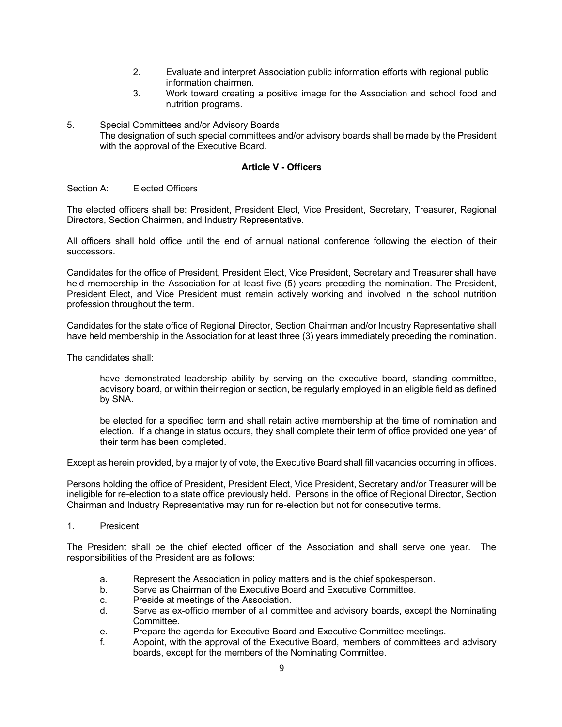- 2. Evaluate and interpret Association public information efforts with regional public information chairmen.
- 3. Work toward creating a positive image for the Association and school food and nutrition programs.
- 5. Special Committees and/or Advisory Boards The designation of such special committees and/or advisory boards shall be made by the President with the approval of the Executive Board.

## **Article V - Officers**

## Section A: Elected Officers

The elected officers shall be: President, President Elect, Vice President, Secretary, Treasurer, Regional Directors, Section Chairmen, and Industry Representative.

All officers shall hold office until the end of annual national conference following the election of their successors.

Candidates for the office of President, President Elect, Vice President, Secretary and Treasurer shall have held membership in the Association for at least five (5) years preceding the nomination. The President, President Elect, and Vice President must remain actively working and involved in the school nutrition profession throughout the term.

Candidates for the state office of Regional Director, Section Chairman and/or Industry Representative shall have held membership in the Association for at least three (3) years immediately preceding the nomination.

The candidates shall:

have demonstrated leadership ability by serving on the executive board, standing committee, advisory board, or within their region or section, be regularly employed in an eligible field as defined by SNA.

be elected for a specified term and shall retain active membership at the time of nomination and election. If a change in status occurs, they shall complete their term of office provided one year of their term has been completed.

Except as herein provided, by a majority of vote, the Executive Board shall fill vacancies occurring in offices.

Persons holding the office of President, President Elect, Vice President, Secretary and/or Treasurer will be ineligible for re-election to a state office previously held. Persons in the office of Regional Director, Section Chairman and Industry Representative may run for re-election but not for consecutive terms.

1. President

The President shall be the chief elected officer of the Association and shall serve one year. The responsibilities of the President are as follows:

- a. Represent the Association in policy matters and is the chief spokesperson.
- b. Serve as Chairman of the Executive Board and Executive Committee.
- c. Preside at meetings of the Association.
- d. Serve as ex-officio member of all committee and advisory boards, except the Nominating Committee.
- e. Prepare the agenda for Executive Board and Executive Committee meetings.
- f. Appoint, with the approval of the Executive Board, members of committees and advisory boards, except for the members of the Nominating Committee.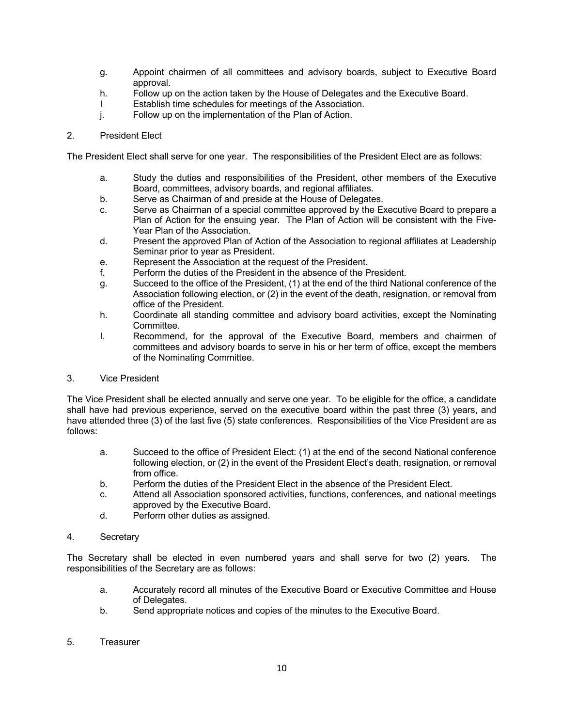- g. Appoint chairmen of all committees and advisory boards, subject to Executive Board approval.
- h. Follow up on the action taken by the House of Delegates and the Executive Board.
- I Establish time schedules for meetings of the Association.
- j. Follow up on the implementation of the Plan of Action.

## 2. President Elect

The President Elect shall serve for one year. The responsibilities of the President Elect are as follows:

- a. Study the duties and responsibilities of the President, other members of the Executive Board, committees, advisory boards, and regional affiliates.
- b. Serve as Chairman of and preside at the House of Delegates.
- c. Serve as Chairman of a special committee approved by the Executive Board to prepare a Plan of Action for the ensuing year. The Plan of Action will be consistent with the Five-Year Plan of the Association.
- d. Present the approved Plan of Action of the Association to regional affiliates at Leadership Seminar prior to year as President.
- e. Represent the Association at the request of the President.
- f. Perform the duties of the President in the absence of the President.
- g. Succeed to the office of the President, (1) at the end of the third National conference of the Association following election, or (2) in the event of the death, resignation, or removal from office of the President.
- h. Coordinate all standing committee and advisory board activities, except the Nominating Committee.
- I. Recommend, for the approval of the Executive Board, members and chairmen of committees and advisory boards to serve in his or her term of office, except the members of the Nominating Committee.

## 3. Vice President

The Vice President shall be elected annually and serve one year. To be eligible for the office, a candidate shall have had previous experience, served on the executive board within the past three (3) years, and have attended three (3) of the last five (5) state conferences. Responsibilities of the Vice President are as follows:

- a. Succeed to the office of President Elect: (1) at the end of the second National conference following election, or (2) in the event of the President Elect's death, resignation, or removal from office.
- b. Perform the duties of the President Elect in the absence of the President Elect.
- c. Attend all Association sponsored activities, functions, conferences, and national meetings approved by the Executive Board.
- d. Perform other duties as assigned.
- 4. Secretary

The Secretary shall be elected in even numbered years and shall serve for two (2) years. The responsibilities of the Secretary are as follows:

- a. Accurately record all minutes of the Executive Board or Executive Committee and House of Delegates.
- b. Send appropriate notices and copies of the minutes to the Executive Board.

#### 5. Treasurer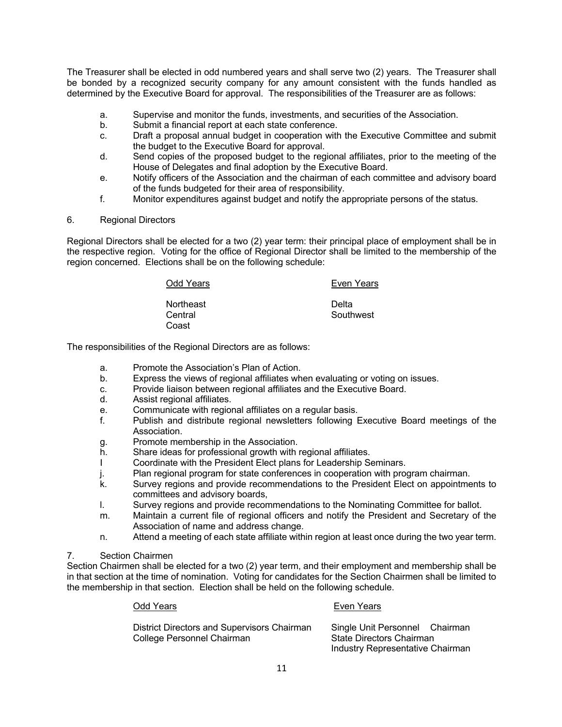The Treasurer shall be elected in odd numbered years and shall serve two (2) years. The Treasurer shall be bonded by a recognized security company for any amount consistent with the funds handled as determined by the Executive Board for approval. The responsibilities of the Treasurer are as follows:

- a. Supervise and monitor the funds, investments, and securities of the Association.
- b. Submit a financial report at each state conference.
- c. Draft a proposal annual budget in cooperation with the Executive Committee and submit the budget to the Executive Board for approval.
- d. Send copies of the proposed budget to the regional affiliates, prior to the meeting of the House of Delegates and final adoption by the Executive Board.
- e. Notify officers of the Association and the chairman of each committee and advisory board of the funds budgeted for their area of responsibility.
- f. Monitor expenditures against budget and notify the appropriate persons of the status.

## 6. Regional Directors

Regional Directors shall be elected for a two (2) year term: their principal place of employment shall be in the respective region. Voting for the office of Regional Director shall be limited to the membership of the region concerned. Elections shall be on the following schedule:

| <b>Northeast</b><br>Delta<br>Central<br>Southwest | Odd Years | Even Years |  |
|---------------------------------------------------|-----------|------------|--|
|                                                   | Coast     |            |  |

The responsibilities of the Regional Directors are as follows:

- a. Promote the Association's Plan of Action.
- b. Express the views of regional affiliates when evaluating or voting on issues.
- c. Provide liaison between regional affiliates and the Executive Board.
- d. Assist regional affiliates.
- e. Communicate with regional affiliates on a regular basis.
- f. Publish and distribute regional newsletters following Executive Board meetings of the Association.
- g. Promote membership in the Association.
- h. Share ideas for professional growth with regional affiliates.
- I Coordinate with the President Elect plans for Leadership Seminars.
- j. Plan regional program for state conferences in cooperation with program chairman.
- k. Survey regions and provide recommendations to the President Elect on appointments to committees and advisory boards,
- l. Survey regions and provide recommendations to the Nominating Committee for ballot.
- m. Maintain a current file of regional officers and notify the President and Secretary of the Association of name and address change.
- n. Attend a meeting of each state affiliate within region at least once during the two year term.

## 7. Section Chairmen

Section Chairmen shall be elected for a two (2) year term, and their employment and membership shall be in that section at the time of nomination. Voting for candidates for the Section Chairmen shall be limited to the membership in that section. Election shall be held on the following schedule.

## Odd Years **Even Years** Even Years

| District Directors and Supervisors Chairman | Single Unit Personnel Chairman   |  |
|---------------------------------------------|----------------------------------|--|
| College Personnel Chairman                  | State Directors Chairman         |  |
|                                             | Industry Representative Chairman |  |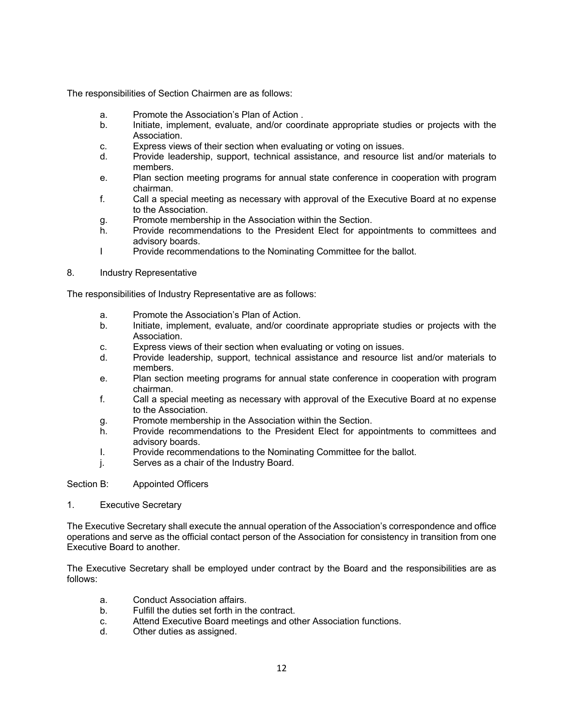The responsibilities of Section Chairmen are as follows:

- a. Promote the Association's Plan of Action .
- b. Initiate, implement, evaluate, and/or coordinate appropriate studies or projects with the Association.
- c. Express views of their section when evaluating or voting on issues.
- d. Provide leadership, support, technical assistance, and resource list and/or materials to members.
- e. Plan section meeting programs for annual state conference in cooperation with program chairman.
- f. Call a special meeting as necessary with approval of the Executive Board at no expense to the Association.
- g. Promote membership in the Association within the Section.
- h. Provide recommendations to the President Elect for appointments to committees and advisory boards.
- I Provide recommendations to the Nominating Committee for the ballot.
- 8. Industry Representative

The responsibilities of Industry Representative are as follows:

- a. Promote the Association's Plan of Action.
- b. Initiate, implement, evaluate, and/or coordinate appropriate studies or projects with the Association.
- c. Express views of their section when evaluating or voting on issues.
- d. Provide leadership, support, technical assistance and resource list and/or materials to members.
- e. Plan section meeting programs for annual state conference in cooperation with program chairman.
- f. Call a special meeting as necessary with approval of the Executive Board at no expense to the Association.
- g. Promote membership in the Association within the Section.
- h. Provide recommendations to the President Elect for appointments to committees and advisory boards.
- I. Provide recommendations to the Nominating Committee for the ballot.
- j. Serves as a chair of the Industry Board.

#### Section B: Appointed Officers

1. Executive Secretary

The Executive Secretary shall execute the annual operation of the Association's correspondence and office operations and serve as the official contact person of the Association for consistency in transition from one Executive Board to another.

The Executive Secretary shall be employed under contract by the Board and the responsibilities are as follows:

- a. Conduct Association affairs.
- b. Fulfill the duties set forth in the contract.
- c. Attend Executive Board meetings and other Association functions.
- d. Other duties as assigned.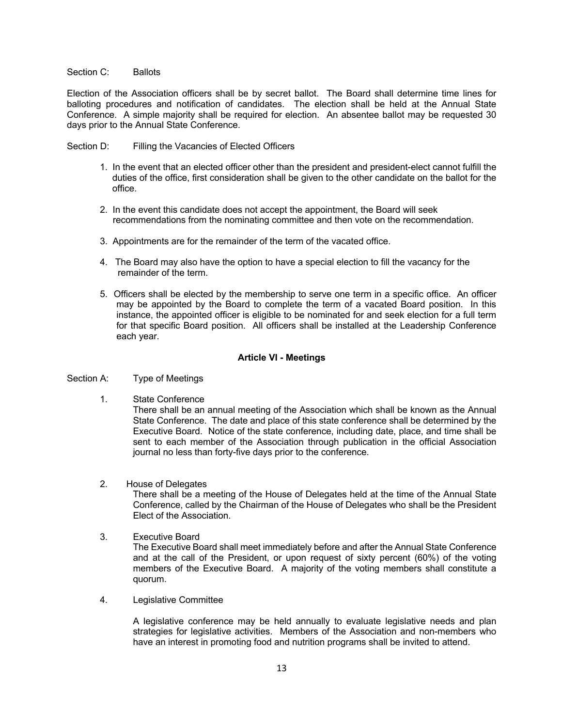#### Section C: Ballots

Election of the Association officers shall be by secret ballot. The Board shall determine time lines for balloting procedures and notification of candidates. The election shall be held at the Annual State Conference. A simple majority shall be required for election.An absentee ballot may be requested 30 days prior to the Annual State Conference.

#### Section D: Filling the Vacancies of Elected Officers

- 1. In the event that an elected officer other than the president and president-elect cannot fulfill the duties of the office, first consideration shall be given to the other candidate on the ballot for the office.
- 2. In the event this candidate does not accept the appointment, the Board will seek recommendations from the nominating committee and then vote on the recommendation.
- 3. Appointments are for the remainder of the term of the vacated office.
- 4. The Board may also have the option to have a special election to fill the vacancy for the remainder of the term.
- 5. Officers shall be elected by the membership to serve one term in a specific office. An officer may be appointed by the Board to complete the term of a vacated Board position. In this instance, the appointed officer is eligible to be nominated for and seek election for a full term for that specific Board position. All officers shall be installed at the Leadership Conference each year.

### **Article VI - Meetings**

#### Section A: Type of Meetings

1. State Conference

There shall be an annual meeting of the Association which shall be known as the Annual State Conference. The date and place of this state conference shall be determined by the Executive Board. Notice of the state conference, including date, place, and time shall be sent to each member of the Association through publication in the official Association journal no less than forty-five days prior to the conference.

## 2. House of Delegates

There shall be a meeting of the House of Delegates held at the time of the Annual State Conference, called by the Chairman of the House of Delegates who shall be the President Elect of the Association.

3. Executive Board

The Executive Board shall meet immediately before and after the Annual State Conference and at the call of the President, or upon request of sixty percent (60%) of the voting members of the Executive Board. A majority of the voting members shall constitute a quorum.

4. Legislative Committee

A legislative conference may be held annually to evaluate legislative needs and plan strategies for legislative activities. Members of the Association and non-members who have an interest in promoting food and nutrition programs shall be invited to attend.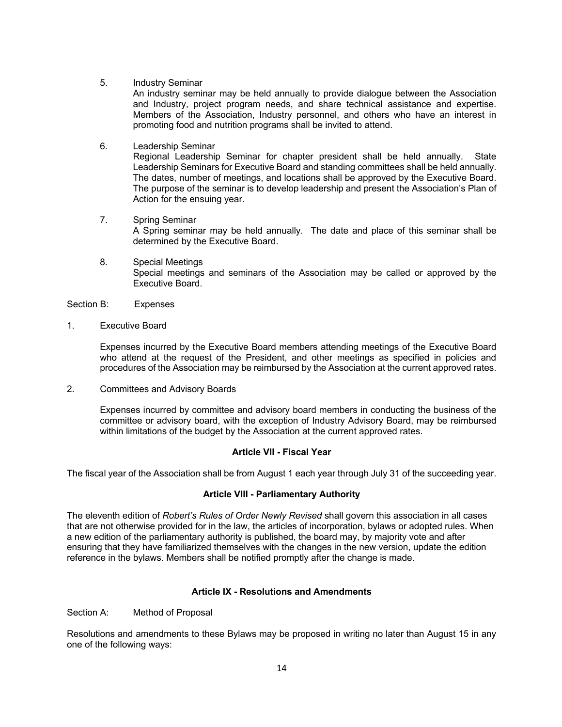5. Industry Seminar

An industry seminar may be held annually to provide dialogue between the Association and Industry, project program needs, and share technical assistance and expertise. Members of the Association, Industry personnel, and others who have an interest in promoting food and nutrition programs shall be invited to attend.

6. Leadership Seminar

Regional Leadership Seminar for chapter president shall be held annually. State Leadership Seminars for Executive Board and standing committees shall be held annually. The dates, number of meetings, and locations shall be approved by the Executive Board. The purpose of the seminar is to develop leadership and present the Association's Plan of Action for the ensuing year.

- 7. Spring Seminar A Spring seminar may be held annually. The date and place of this seminar shall be determined by the Executive Board.
- 8. Special Meetings Special meetings and seminars of the Association may be called or approved by the Executive Board.
- Section B: Expenses
- 1. Executive Board

Expenses incurred by the Executive Board members attending meetings of the Executive Board who attend at the request of the President, and other meetings as specified in policies and procedures of the Association may be reimbursed by the Association at the current approved rates.

2. Committees and Advisory Boards

Expenses incurred by committee and advisory board members in conducting the business of the committee or advisory board, with the exception of Industry Advisory Board, may be reimbursed within limitations of the budget by the Association at the current approved rates.

## **Article VII - Fiscal Year**

The fiscal year of the Association shall be from August 1 each year through July 31 of the succeeding year.

## **Article VIII - Parliamentary Authority**

The eleventh edition of *Robert's Rules of Order Newly Revised* shall govern this association in all cases that are not otherwise provided for in the law, the articles of incorporation, bylaws or adopted rules. When a new edition of the parliamentary authority is published, the board may, by majority vote and after ensuring that they have familiarized themselves with the changes in the new version, update the edition reference in the bylaws. Members shall be notified promptly after the change is made.

## **Article IX - Resolutions and Amendments**

Section A: Method of Proposal

Resolutions and amendments to these Bylaws may be proposed in writing no later than August 15 in any one of the following ways: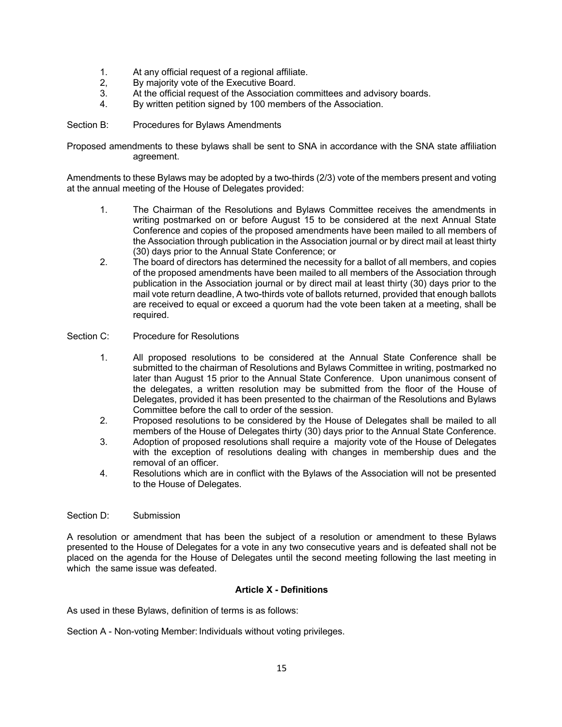- 1. At any official request of a regional affiliate.
- 2, By majority vote of the Executive Board.
- 3. At the official request of the Association committees and advisory boards.
- 4. By written petition signed by 100 members of the Association.
- Section B: Procedures for Bylaws Amendments

Proposed amendments to these bylaws shall be sent to SNA in accordance with the SNA state affiliation agreement.

Amendments to these Bylaws may be adopted by a two-thirds (2/3) vote of the members present and voting at the annual meeting of the House of Delegates provided:

- 1. The Chairman of the Resolutions and Bylaws Committee receives the amendments in writing postmarked on or before August 15 to be considered at the next Annual State Conference and copies of the proposed amendments have been mailed to all members of the Association through publication in the Association journal or by direct mail at least thirty (30) days prior to the Annual State Conference; or
- 2. The board of directors has determined the necessity for a ballot of all members, and copies of the proposed amendments have been mailed to all members of the Association through publication in the Association journal or by direct mail at least thirty (30) days prior to the mail vote return deadline, A two-thirds vote of ballots returned, provided that enough ballots are received to equal or exceed a quorum had the vote been taken at a meeting, shall be required.

## Section C: Procedure for Resolutions

- 1. All proposed resolutions to be considered at the Annual State Conference shall be submitted to the chairman of Resolutions and Bylaws Committee in writing, postmarked no later than August 15 prior to the Annual State Conference. Upon unanimous consent of the delegates, a written resolution may be submitted from the floor of the House of Delegates, provided it has been presented to the chairman of the Resolutions and Bylaws Committee before the call to order of the session.
- 2. Proposed resolutions to be considered by the House of Delegates shall be mailed to all members of the House of Delegates thirty (30) days prior to the Annual State Conference.
- 3. Adoption of proposed resolutions shall require a majority vote of the House of Delegates with the exception of resolutions dealing with changes in membership dues and the removal of an officer.
- 4. Resolutions which are in conflict with the Bylaws of the Association will not be presented to the House of Delegates.

## Section D: Submission

A resolution or amendment that has been the subject of a resolution or amendment to these Bylaws presented to the House of Delegates for a vote in any two consecutive years and is defeated shall not be placed on the agenda for the House of Delegates until the second meeting following the last meeting in which the same issue was defeated.

## **Article X - Definitions**

As used in these Bylaws, definition of terms is as follows:

Section A - Non-voting Member: Individuals without voting privileges.